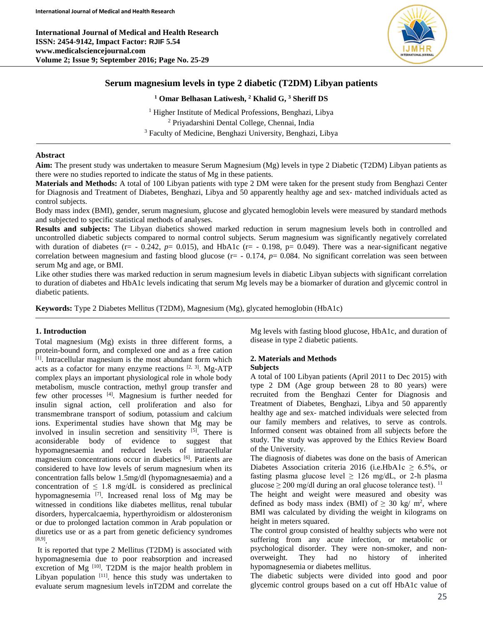**International Journal of Medical and Health Research ISSN: 2454-9142, Impact Factor: RJIF 5.54 www.medicalsciencejournal.com Volume 2; Issue 9; September 2016; Page No. 25-29**



# **Serum magnesium levels in type 2 diabetic (T2DM) Libyan patients**

## **<sup>1</sup> Omar Belhasan Latiwesh, <sup>2</sup> Khalid G, <sup>3</sup> Sheriff DS**

<sup>1</sup> Higher Institute of Medical Professions, Benghazi, Libya <sup>2</sup> Priyadarshini Dental College, Chennai, India <sup>3</sup> Faculty of Medicine, Benghazi University, Benghazi, Libya

## **Abstract**

**Aim:** The present study was undertaken to measure Serum Magnesium (Mg) levels in type 2 Diabetic (T2DM) Libyan patients as there were no studies reported to indicate the status of Mg in these patients.

**Materials and Methods:** A total of 100 Libyan patients with type 2 DM were taken for the present study from Benghazi Center for Diagnosis and Treatment of Diabetes, Benghazi, Libya and 50 apparently healthy age and sex- matched individuals acted as control subjects.

Body mass index (BMI), gender, serum magnesium, glucose and glycated hemoglobin levels were measured by standard methods and subjected to specific statistical methods of analyses.

**Results and subjects:** The Libyan diabetics showed marked reduction in serum magnesium levels both in controlled and uncontrolled diabetic subjects compared to normal control subjects. Serum magnesium was significantly negatively correlated with duration of diabetes ( $r = -0.242$ ,  $p = 0.015$ ), and HbA1c ( $r = -0.198$ ,  $p = 0.049$ ). There was a near-significant negative correlation between magnesium and fasting blood glucose (r= - 0.174, *p*= 0.084. No significant correlation was seen between serum Mg and age, or BMI.

Like other studies there was marked reduction in serum magnesium levels in diabetic Libyan subjects with significant correlation to duration of diabetes and HbA1c levels indicating that serum Mg levels may be a biomarker of duration and glycemic control in diabetic patients.

**Keywords:** Type 2 Diabetes Mellitus (T2DM), Magnesium (Mg), glycated hemoglobin (HbA1c)

## **1. Introduction**

Total magnesium (Mg) exists in three different forms, a protein-bound form, and complexed one and as a free cation [1]. Intracellular magnesium is the most abundant form which acts as a cofactor for many enzyme reactions  $[2, 3]$ . Mg-ATP complex plays an important physiological role in whole body metabolism, muscle contraction, methyl group transfer and few other processes [4] . Magnesium is further needed for insulin signal action, cell proliferation and also for transmembrane transport of sodium, potassium and calcium ions. Experimental studies have shown that Mg may be involved in insulin secretion and sensitivity  $[5]$ . There is aconsiderable body of evidence to suggest that hypomagnesaemia and reduced levels of intracellular magnesium concentrations occur in diabetics <sup>[6]</sup>. Patients are considered to have low levels of serum magnesium when its concentration falls below 1.5mg/dl (hypomagnesaemia) and a concentration of  $\leq 1.8$  mg/dL is considered as preclinical hypomagnesemia<sup>[7]</sup>. Increased renal loss of Mg may be witnessed in conditions like diabetes mellitus, renal tubular disorders, hypercalcaemia, hyperthyroidism or aldosteronism or due to prolonged lactation common in Arab population or diuretics use or as a part from genetic deficiency syndromes [8,9] .

It is reported that type 2 Mellitus (T2DM) is associated with hypomagnesemia due to poor reabsorption and increased excretion of Mg<sup>[10]</sup>. T2DM is the major health problem in Libyan population [11]. hence this study was undertaken to evaluate serum magnesium levels inT2DM and correlate the Mg levels with fasting blood glucose, HbA1c, and duration of disease in type 2 diabetic patients.

## **2. Materials and Methods**

## **Subjects**

A total of 100 Libyan patients (April 2011 to Dec 2015) with type 2 DM (Age group between 28 to 80 years) were recruited from the Benghazi Center for Diagnosis and Treatment of Diabetes, Benghazi, Libya and 50 apparently healthy age and sex- matched individuals were selected from our family members and relatives, to serve as controls. Informed consent was obtained from all subjects before the study. The study was approved by the Ethics Review Board of the University.

The diagnosis of diabetes was done on the basis of American Diabetes Association criteria 2016 (i.e.HbA1c  $\geq$  6.5%, or fasting plasma glucose level  $\geq$  126 mg/dL, or 2-h plasma glucose  $\geq 200$  mg/dl during an oral glucose tolerance test). <sup>11</sup>

The height and weight were measured and obesity was defined as body mass index (BMI) of  $\geq 30$  kg/ m<sup>2</sup>, where BMI was calculated by dividing the weight in kilograms on height in meters squared.

The control group consisted of healthy subjects who were not suffering from any acute infection, or metabolic or psychological disorder. They were non-smoker, and nonoverweight. They had no history of inherited hypomagnesemia or diabetes mellitus.

The diabetic subjects were divided into good and poor glycemic control groups based on a cut off HbA1c value of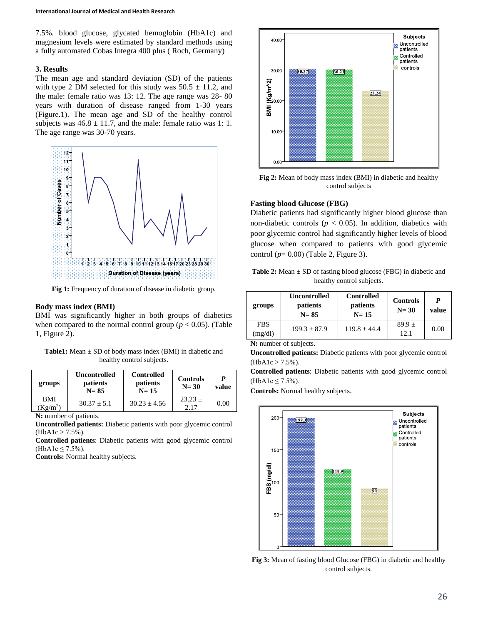7.5%. blood glucose, glycated hemoglobin (HbA1c) and magnesium levels were estimated by standard methods using a fully automated Cobas Integra 400 plus ( Roch, Germany)

## **3. Results**

The mean age and standard deviation (SD) of the patients with type 2 DM selected for this study was  $50.5 \pm 11.2$ , and the male: female ratio was 13: 12. The age range was 28- 80 years with duration of disease ranged from 1-30 years (Figure.1). The mean age and SD of the healthy control subjects was  $46.8 \pm 11.7$ , and the male: female ratio was 1: 1. The age range was 30-70 years.



**Fig 1:** Frequency of duration of disease in diabetic group.

#### **Body mass index (BMI)**

BMI was significantly higher in both groups of diabetics when compared to the normal control group ( $p < 0.05$ ). (Table 1, Figure 2).

**Table1:** Mean ± SD of body mass index (BMI) in diabetic and healthy control subjects.

| groups                 | <b>Uncontrolled</b><br>patients<br>$N = 85$ | <b>Controlled</b><br>patients<br>$N=15$ | <b>Controls</b><br>$N = 30$ | P<br>value |
|------------------------|---------------------------------------------|-----------------------------------------|-----------------------------|------------|
| <b>BMI</b><br>$Kg/m^2$ | $30.37 + 5.1$                               | $30.23 + 4.56$                          | $23.23 \pm$<br>2.17         | 0.00       |

**N:** number of patients.

**Uncontrolled patients:** Diabetic patients with poor glycemic control  $(HbA1c > 7.5\%)$ .

**Controlled patients**: Diabetic patients with good glycemic control  $(HbA1c \le 7.5\%)$ .

**Controls:** Normal healthy subjects.



**Fig 2:** Mean of body mass index (BMI) in diabetic and healthy control subjects

### **Fasting blood Glucose (FBG)**

Diabetic patients had significantly higher blood glucose than non-diabetic controls ( $p < 0.05$ ). In addition, diabetics with poor glycemic control had significantly higher levels of blood glucose when compared to patients with good glycemic control (*p*= 0.00) (Table 2, Figure 3).

**Table 2:** Mean  $\pm$  SD of fasting blood glucose (FBG) in diabetic and healthy control subjects.

| groups                                                                   | <b>Uncontrolled</b><br>patients<br>$N = 85$ | <b>Controlled</b><br>patients<br>$N=15$ | <b>Controls</b><br>$N = 30$ | P<br>value |
|--------------------------------------------------------------------------|---------------------------------------------|-----------------------------------------|-----------------------------|------------|
| <b>FBS</b><br>(mg/dl)                                                    | $199.3 + 87.9$                              | $119.8 \pm 44.4$                        | $89.9 \pm$<br>12.1          | 0.00       |
| $\mathbf{M}$ , $\mathbf{1}$ , $\mathbf{C}$ , $\mathbf{1}$ , $\mathbf{1}$ |                                             |                                         |                             |            |

**N:** number of subjects.

**Uncontrolled patients:** Diabetic patients with poor glycemic control  $(HbA1c > 7.5\%)$ .

**Controlled patients**: Diabetic patients with good glycemic control (HbA1c ≤ 7.5%).

**Controls:** Normal healthy subjects.



**Fig 3:** Mean of fasting blood Glucose (FBG) in diabetic and healthy control subjects.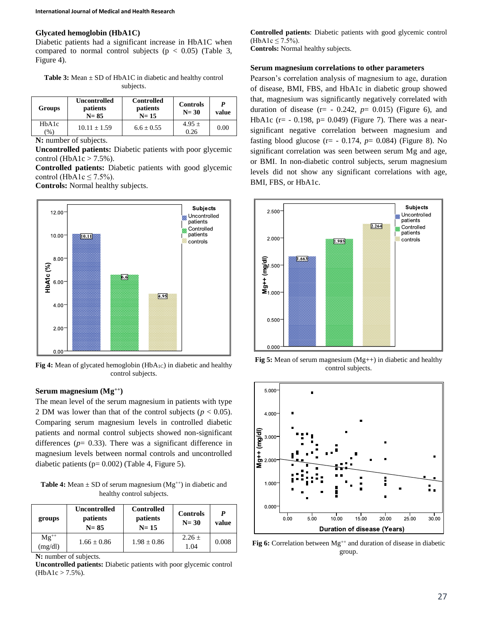#### **Glycated hemoglobin (HbA1C)**

Diabetic patients had a significant increase in HbA1C when compared to normal control subjects ( $p < 0.05$ ) (Table 3, Figure 4).

Table 3: Mean  $\pm$  SD of HbA1C in diabetic and healthy control subjects.

| Groups                    | Uncontrolled<br>patients<br>$N = 85$ | <b>Controlled</b><br>patients<br>$N=15$ | <b>Controls</b><br>$N = 30$ | P<br>value |
|---------------------------|--------------------------------------|-----------------------------------------|-----------------------------|------------|
| HbA1c<br>$\mathcal{O}(6)$ | $10.11 \pm 1.59$                     | $6.6 \pm 0.55$                          | $4.95 \pm$<br>0.26          | 0.00       |

**N:** number of subjects.

**Uncontrolled patients:** Diabetic patients with poor glycemic control (HbA1c  $>$  7.5%).

**Controlled patients:** Diabetic patients with good glycemic control (HbA1c  $\leq$  7.5%).

**Controls:** Normal healthy subjects.



Fig 4: Mean of glycated hemoglobin (HbA<sub>1C</sub>) in diabetic and healthy control subjects.

### **Serum magnesium (Mg++)**

The mean level of the serum magnesium in patients with type 2 DM was lower than that of the control subjects  $(p < 0.05)$ . Comparing serum magnesium levels in controlled diabetic patients and normal control subjects showed non-significant differences  $(p= 0.33)$ . There was a significant difference in magnesium levels between normal controls and uncontrolled diabetic patients ( $p= 0.002$ ) (Table 4, Figure 5).

**Table 4:** Mean  $\pm$  SD of serum magnesium (Mg<sup>++</sup>) in diabetic and healthy control subjects.

| groups               | <b>Uncontrolled</b><br>patients<br>$N = 85$ | <b>Controlled</b><br>patients<br>$N = 15$ | <b>Controls</b><br>$N = 30$ | P<br>value |
|----------------------|---------------------------------------------|-------------------------------------------|-----------------------------|------------|
| $Mg^{++}$<br>(mg/dl) | $1.66 \pm 0.86$                             | $1.98 \pm 0.86$                           | $2.26 \pm$<br>1.04          | 0.008      |

**N:** number of subjects.

**Uncontrolled patients:** Diabetic patients with poor glycemic control  $(HbA1c > 7.5\%).$ 

**Controlled patients**: Diabetic patients with good glycemic control  $(HbA1c \le 7.5\%)$ . **Controls:** Normal healthy subjects.

#### **Serum magnesium correlations to other parameters**

Pearson's correlation analysis of magnesium to age, duration of disease, BMI, FBS, and HbA1c in diabetic group showed that, magnesium was significantly negatively correlated with duration of disease  $(r= -0.242, p= 0.015)$  (Figure 6), and HbA1c ( $r = -0.198$ ,  $p = 0.049$ ) (Figure 7). There was a nearsignificant negative correlation between magnesium and fasting blood glucose ( $r = -0.174$ ,  $p = 0.084$ ) (Figure 8). No significant correlation was seen between serum Mg and age, or BMI. In non-diabetic control subjects, serum magnesium levels did not show any significant correlations with age, BMI, FBS, or HbA1c.



**Fig 5:** Mean of serum magnesium (Mg++) in diabetic and healthy control subjects.



**Fig 6:** Correlation between  $Mg^{++}$  and duration of disease in diabetic group.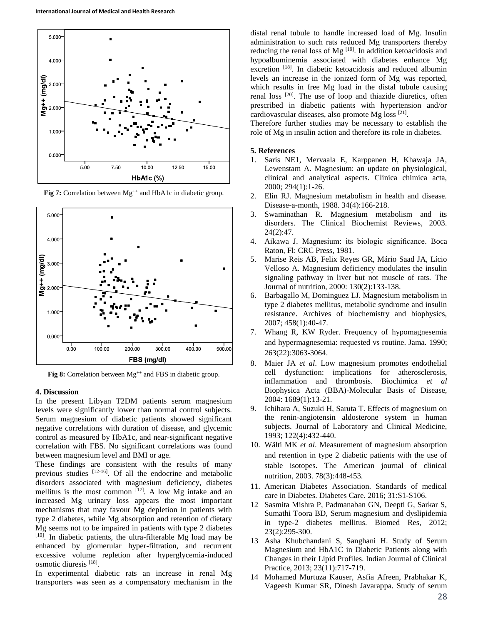

**Fig 7:** Correlation between Mg<sup>++</sup> and HbA1c in diabetic group.



**Fig 8:** Correlation between  $Mg^{++}$  and FBS in diabetic group.

#### **4. Discussion**

In the present Libyan T2DM patients serum magnesium levels were significantly lower than normal control subjects. Serum magnesium of diabetic patients showed significant negative correlations with duration of disease, and glycemic control as measured by HbA1c, and near-significant negative correlation with FBS. No significant correlations was found between magnesium level and BMI or age.

These findings are consistent with the results of many previous studies <sup>[12-16]</sup>. Of all the endocrine and metabolic disorders associated with magnesium deficiency, diabetes mellitus is the most common  $[17]$ . A low Mg intake and an increased Mg urinary loss appears the most important mechanisms that may favour Mg depletion in patients with type 2 diabetes, while Mg absorption and retention of dietary Mg seems not to be impaired in patients with type 2 diabetes [10]. In diabetic patients, the ultra-filterable Mg load may be enhanced by glomerular hyper-filtration, and recurrent excessive volume repletion after hyperglycemia-induced osmotic diuresis [18] .

In experimental diabetic rats an increase in renal Mg transporters was seen as a compensatory mechanism in the

distal renal tubule to handle increased load of Mg. Insulin administration to such rats reduced Mg transporters thereby reducing the renal loss of Mg<sup>[19]</sup>. In addition ketoacidosis and hypoalbuminemia associated with diabetes enhance Mg excretion<sup>[18]</sup>. In diabetic ketoacidosis and reduced albumin levels an increase in the ionized form of Mg was reported, which results in free Mg load in the distal tubule causing renal loss <sup>[20]</sup>. The use of loop and thiazide diuretics, often prescribed in diabetic patients with hypertension and/or cardiovascular diseases, also promote Mg loss <a>[21]</a>.

Therefore further studies may be necessary to establish the role of Mg in insulin action and therefore its role in diabetes.

#### **5. References**

- 1. Saris NE1, Mervaala E, Karppanen H, Khawaja JA, Lewenstam A. Magnesium: an update on physiological, clinical and analytical aspects. Clinica chimica acta, 2000; 294(1):1-26.
- 2. Elin RJ. Magnesium metabolism in health and disease. Disease-a-month, 1988. 34(4):166-218.
- 3. Swaminathan R. Magnesium metabolism and its disorders. The Clinical Biochemist Reviews, 2003. 24(2):47.
- 4. Aikawa J. Magnesium: its biologic significance. Boca Raton, Fl: CRC Press, 1981.
- 5. Marise Reis AB, Felix Reyes GR, Mário Saad JA, Lício Velloso A. Magnesium deficiency modulates the insulin signaling pathway in liver but not muscle of rats. The Journal of nutrition, 2000: 130(2):133-138.
- 6. Barbagallo M, Dominguez LJ. Magnesium metabolism in type 2 diabetes mellitus, metabolic syndrome and insulin resistance. Archives of biochemistry and biophysics, 2007; 458(1):40-47.
- 7. Whang R, KW Ryder. Frequency of hypomagnesemia and hypermagnesemia: requested vs routine. Jama. 1990; 263(22):3063-3064.
- 8. Maier JA *et al*. Low magnesium promotes endothelial cell dysfunction: implications for atherosclerosis, inflammation and thrombosis. Biochimica *et al* Biophysica Acta (BBA)-Molecular Basis of Disease, 2004: 1689(1):13-21.
- 9. Ichihara A, Suzuki H, Saruta T. Effects of magnesium on the renin-angiotensin aldosterone system in human subjects. Journal of Laboratory and Clinical Medicine, 1993; 122(4):432-440.
- 10. Wälti MK *et al*. Measurement of magnesium absorption and retention in type 2 diabetic patients with the use of stable isotopes. The American journal of clinical nutrition, 2003. 78(3):448-453.
- 11. American Diabetes Association. Standards of medical care in Diabetes. Diabetes Care. 2016; 31:S1-S106.
- 12 Sasmita Mishra P, Padmanaban GN, Deepti G, Sarkar S, Sumathi Toora BD, Serum magnesium and dyslipidemia in type-2 diabetes mellitus. Biomed Res, 2012; 23(2):295-300.
- 13 Asha Khubchandani S, Sanghani H. Study of Serum Magnesium and HbA1C in Diabetic Patients along with Changes in their Lipid Profiles. Indian Journal of Clinical Practice, 2013; 23(11):717-719.
- 14 Mohamed Murtuza Kauser, Asfia Afreen, Prabhakar K, Vageesh Kumar SR, Dinesh Javarappa. Study of serum